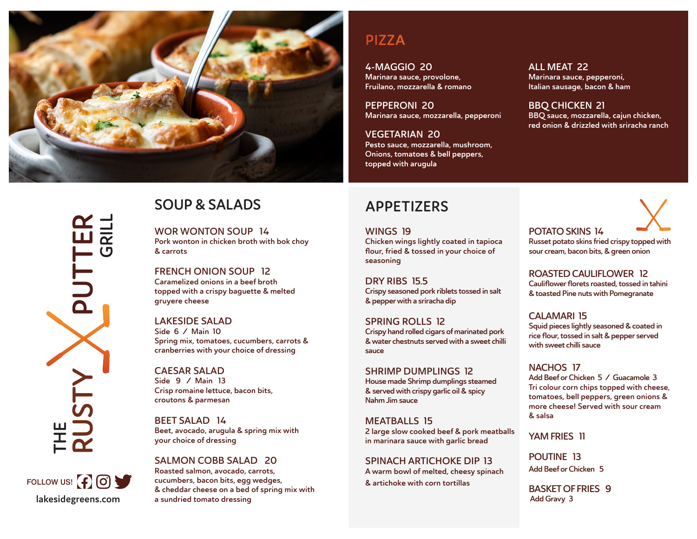

**RUSTY PUTTER GRILL** PUTT THE<br>**RUSTY** 



# **SOUP & SALADS**

WOR WONTON SOUP 14 Pork wonton in chicken broth with bok choy & carrots

FRENCH ONION SOUP 12 Caramelized onions in a beef broth topped with a crispy baguette & melted gruyere cheese

LAKESIDE SALAD Side 6 / Main 10 Spring mix, tomatoes, cucumbers, carrots & cranberries with your choice of dressing

CAESAR SALAD Side 9 / Main 13 Crisp romaine lettuce, bacon bits, croutons & parmesan

BEET SALAD 14 Beet, avocado, arugula & spring mix with your choice of dressing

SALMON COBB SALAD 20 Roasted salmon, avocado, carrots, cucumbers, bacon bits, egg wedges, & cheddar cheese on a bed of spring mix with a sundried tomato dressing

## **PIZZA**

4-MAGGIO 20 Marinara sauce, provolone, Fruilano, mozzarella & romano

PEPPERONI 20 Marinara sauce, mozzarella, pepperoni

VEGETARIAN 20 Pesto sauce, mozzarella, mushroom, Onions, tomatoes & bell peppers, topped with arugula

Chicken wings lightly coated in tapioca flour, fried & tossed in your choice of

Crispy seasoned pork riblets tossed in salt

Crispy hand rolled cigars of marinated pork & water chestnuts served with a sweet chilli

**APPETIZERS**

WINGS 19

seasoning

sauce

DRY RIBS 15.5

& pepper with a sriracha dip

SPRING ROLLS 12

ALL MEAT 22 Marinara sauce, pepperoni, Italian sausage, bacon & ham

BBQ CHICKEN 21 BBQ sauce, mozzarella, cajun chicken, red onion & drizzled with sriracha ranch

POTATO SKINS 14 Russet potato skins fried crispy topped with sour cream, bacon bits, & green onion

ROASTED CAULIFLOWER 12 Cauliflower florets roasted, tossed in tahini & toasted Pine nuts with Pomegranate

CALAMARI 15 Squid pieces lightly seasoned & coated in rice flour, tossed in salt & pepper served with sweet chilli sauce

SHRIMP DUMPLINGS 12 House made Shrimp dumplings steamed & served with crispy garlic oil & spicy Nahm Jim sauce

MEATBALLS 15 2 large slow cooked beef & pork meatballs in marinara sauce with garlic bread

SPINACH ARTICHOKE DIP 13 A warm bowl of melted, cheesy spinach & artichoke with corn tortillas

NACHOS 17

Add Beef or Chicken 5 / Guacamole 3 Tri colour corn chips topped with cheese, tomatoes, bell peppers, green onions & more cheese! Served with sour cream & salsa

YAM FRIES 11

POUTINE 13 Add Beef or Chicken 5

BASKET OF FRIES 9 Add Gravy 3